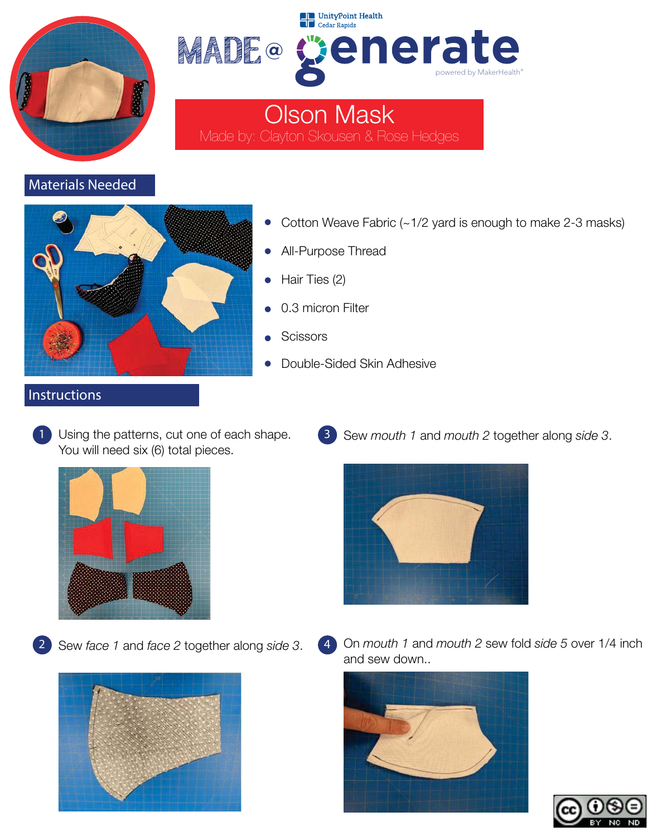



Olson Mask Made by: Clayton Skousen & Rose Hedges

# Materials Needed



- Cotton Weave Fabric (~1/2 yard is enough to make 2-3 masks)
- All-Purpose Thread
- Hair Ties (2)
- 0.3 micron Filter
- **Scissors**
- Double-Sided Skin Adhesive

#### Instructions

Using the patterns, cut one of each shape. You will need six (6) total pieces.







3 Sew *mouth 1* and *mouth 2* together along *side 3*.



4 On *mouth 1* and *mouth 2* sew fold *side 5* over 1/4 inch and sew down..



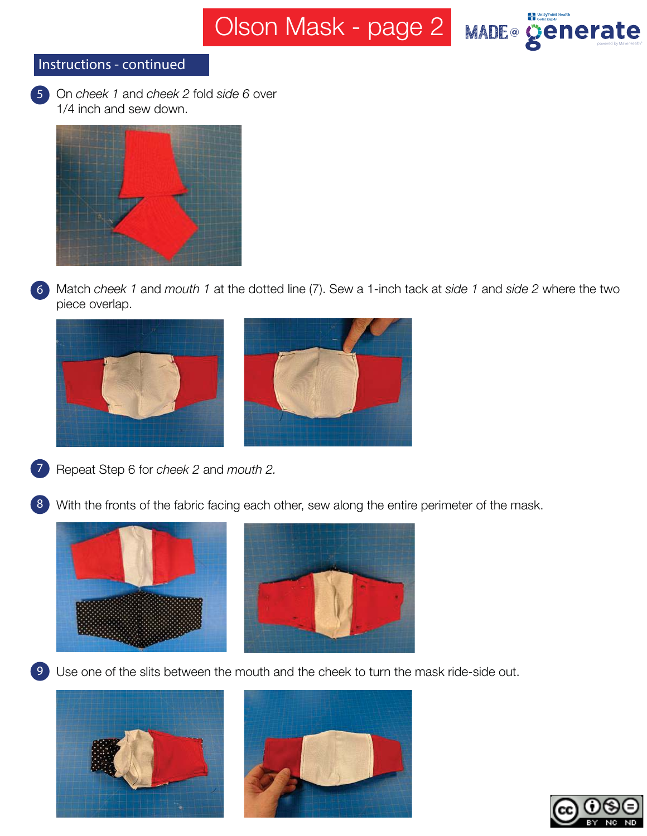Olson Mask - page 2 MADE® **Cenerate** 



### Instructions - continued

5 On *cheek 1* and *cheek 2* fold *side 6* over 1/4 inch and sew down.



6 Match *cheek 1* and *mouth 1* at the dotted line (7). Sew a 1-inch tack at *side 1* and *side 2* where the two piece overlap.





- 7 Repeat Step 6 for *cheek 2* and *mouth 2.*
- 8 With the fronts of the fabric facing each other, sew along the entire perimeter of the mask.





**9** Use one of the slits between the mouth and the cheek to turn the mask ride-side out.





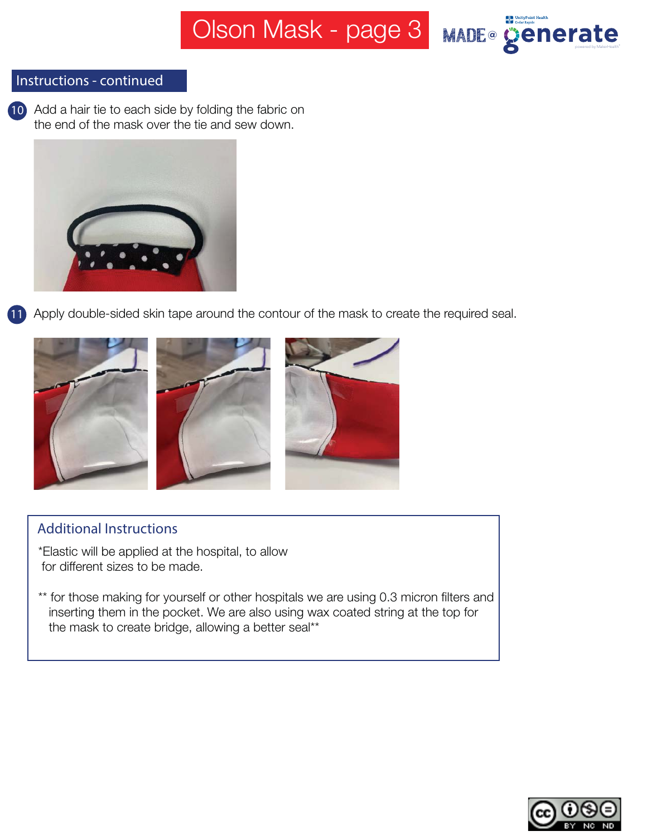

## Instructions - continued

10 Add a hair tie to each side by folding the fabric on the end of the mask over the tie and sew down.



11 Apply double-sided skin tape around the contour of the mask to create the required seal.



### Additional Instructions

- \*Elastic will be applied at the hospital, to allow for different sizes to be made.
- \*\* for those making for yourself or other hospitals we are using 0.3 micron filters and inserting them in the pocket. We are also using wax coated string at the top for the mask to create bridge, allowing a better seal\*\*

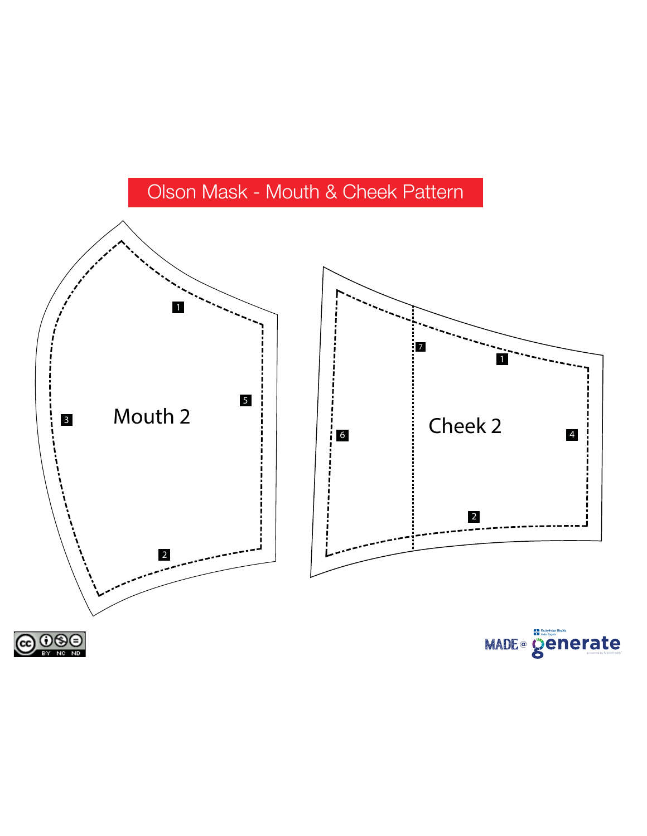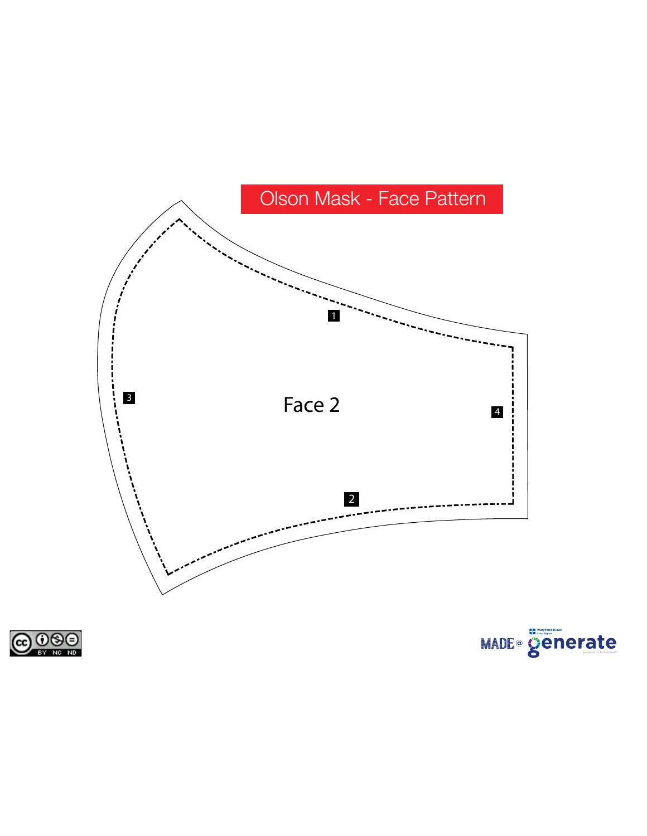



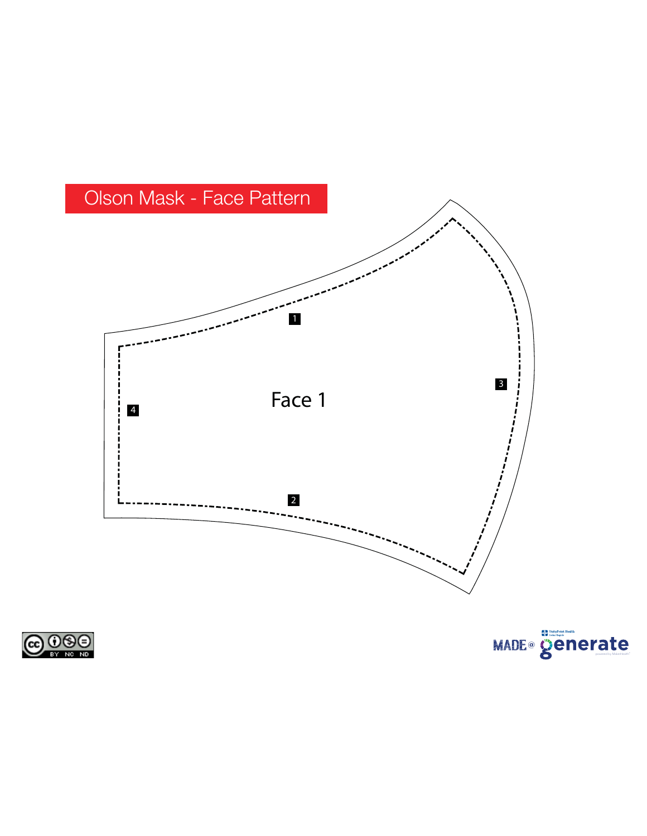